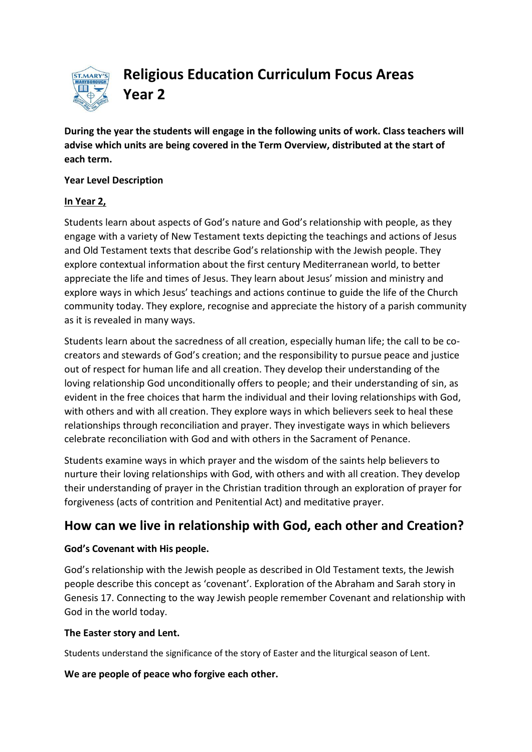

**Religious Education Curriculum Focus Areas Year 2**

**During the year the students will engage in the following units of work. Class teachers will advise which units are being covered in the Term Overview, distributed at the start of each term.**

#### **Year Level Description**

## **In Year 2,**

Students learn about aspects of God's nature and God's relationship with people, as they engage with a variety of [New Testament](http://www.rec.bne.catholic.edu.au/Pages/Religious-Education.aspx) texts depicting the teachings and actions of Jesus and [Old Testament](http://www.rec.bne.catholic.edu.au/Pages/Religious-Education.aspx) texts that describe God's relationship with the Jewish people. They explore contextual information about the first century Mediterranean world, to better appreciate the life and times of Jesus. They learn about Jesus' mission and ministry and explore ways in which Jesus' teachings and actions continue to guide the life of the Church community today. They explore, recognise and appreciate the history of a parish community as it is revealed in many ways.

Students learn about the sacredness of all creation, especially human life; the call to be cocreators and stewards of God's creation; and the responsibility to pursue peace and justice out of respect for human life and all creation. They develop their understanding of the loving relationship God unconditionally offers to people; and their understanding of [sin,](http://www.rec.bne.catholic.edu.au/Pages/Religious-Education.aspx) as evident in the free choices that harm the individual and their loving relationships with God, with others and with all creation. They explore ways in which believers seek to heal these relationships through reconciliation and prayer. They investigate ways in which believers celebrate reconciliation with God and with others in the Sacrament of Penance.

Students examine ways in which prayer and the [wisdom](http://www.rec.bne.catholic.edu.au/Pages/Religious-Education.aspx) of the saints help believers to nurture their loving relationships with God, with others and with all creation. They develop their understanding of prayer in the Christian tradition through an exploration of prayer for forgiveness (acts of contrition and Penitential Act) and meditative prayer.

# **How can we live in relationship with God, each other and Creation?**

## **God's Covenant with His people.**

God's relationship with the Jewish people as described in Old Testament texts, the Jewish people describe this concept as 'covenant'. Exploration of the Abraham and Sarah story in Genesis 17. Connecting to the way Jewish people remember Covenant and relationship with God in the world today.

## **The Easter story and Lent.**

Students understand the significance of the story of Easter and the liturgical season of Lent.

## **We are people of peace who forgive each other.**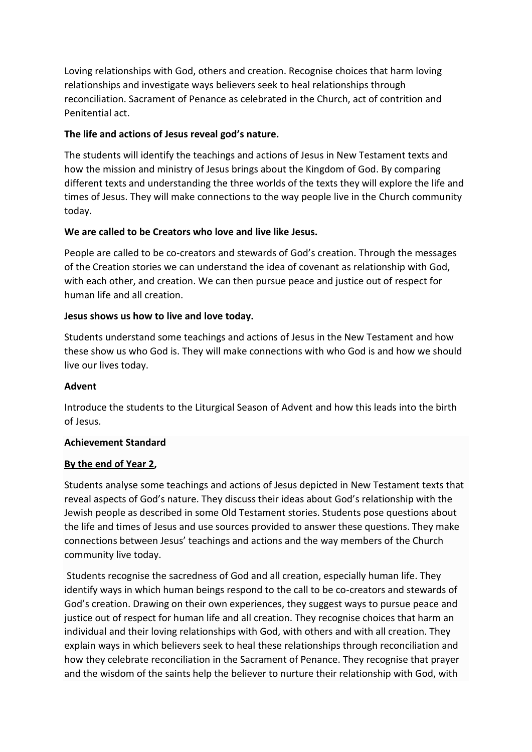Loving relationships with God, others and creation. Recognise choices that harm loving relationships and investigate ways believers seek to heal relationships through reconciliation. Sacrament of Penance as celebrated in the Church, act of contrition and Penitential act.

## **The life and actions of Jesus reveal god's nature.**

The students will identify the teachings and actions of Jesus in New Testament texts and how the mission and ministry of Jesus brings about the Kingdom of God. By comparing different texts and understanding the three worlds of the texts they will explore the life and times of Jesus. They will make connections to the way people live in the Church community today.

## **We are called to be Creators who love and live like Jesus.**

People are called to be co-creators and stewards of God's creation. Through the messages of the Creation stories we can understand the idea of covenant as relationship with God, with each other, and creation. We can then pursue peace and justice out of respect for human life and all creation.

## **Jesus shows us how to live and love today.**

Students understand some teachings and actions of Jesus in the New Testament and how these show us who God is. They will make connections with who God is and how we should live our lives today.

## **Advent**

Introduce the students to the Liturgical Season of Advent and how this leads into the birth of Jesus.

## **Achievement Standard**

## **By the end of Year 2,**

Students analyse some teachings and actions of Jesus depicted in [New Testament](http://www.rec.bne.catholic.edu.au/Pages/Religious-Education.aspx) texts that reveal aspects of God's nature. They discuss their ideas about God's relationship with the Jewish people as described in som[e Old Testament](http://www.rec.bne.catholic.edu.au/Pages/Religious-Education.aspx) stories. Students pose questions about the life and times of Jesus and use sources provided to answer these questions. They make connections between Jesus' teachings and actions and the way members of the Church community live today.

Students recognise the sacredness of God and all creation, especially human life. They identify ways in which human beings respond to the call to be co-creators and stewards of God's creation. Drawing on their own experiences, they suggest ways to pursue peace and justice out of respect for human life and all creation. They recognise choices that harm an individual and their loving relationships with God, with others and with all creation. They explain ways in which believers seek to heal these relationships through reconciliation and how they celebrate reconciliation in the Sacrament of Penance. They recognise that prayer and the [wisdom](http://www.rec.bne.catholic.edu.au/Pages/Religious-Education.aspx) of the saints help the believer to nurture their relationship with God, with